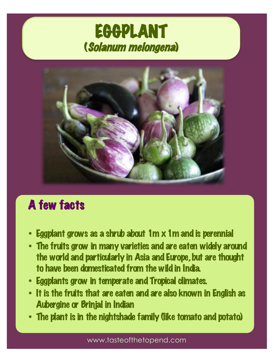# EGGPLANT (Solanum melongena)



## A few facts

- Eggplant grows as a shrub about 1m x 1m and is perennial
- The fruits grow in many varieties and are eaten widely around the world and particularly in Asia and Europe, but are thought to have been domesticated from the wild in India.
- Eggplants grow in temperate and Tropical climates.
- It is the fruits that are eaten and are also known in English as Aubergine or Brinjal in Indian
- The plant is in the nightshade family (like tomato and potato)